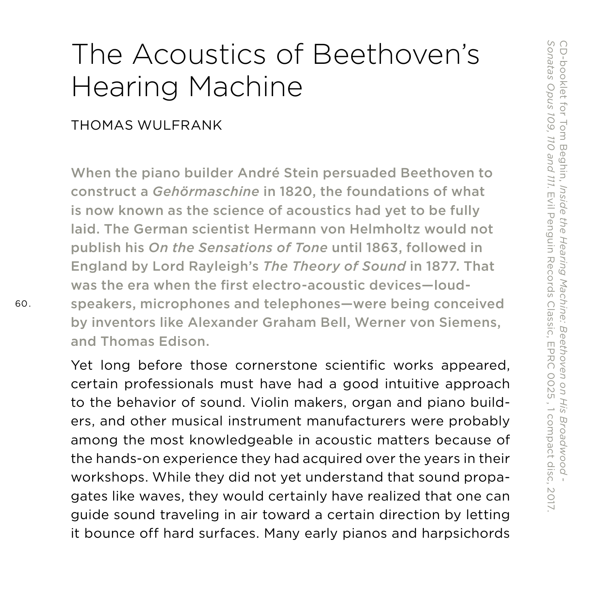# The Acoustics of Beethoven's Hearing Machine

#### THOMAS WULFRANK

When the piano builder André Stein persuaded Beethoven to construct a *Gehörmaschine* in 1820, the foundations of what is now known as the science of acoustics had yet to be fully laid. The German scientist Hermann von Helmholtz would not publish his *On the Sensations of Tone* until 1863, followed in England by Lord Rayleigh's *The Theory of Sound* in 1877. That was the era when the first electro-acoustic devices—loudspeakers, microphones and telephones—were being conceived by inventors like Alexander Graham Bell, Werner von Siemens, and Thomas Edison.

Yet long before those cornerstone scientific works appeared, certain professionals must have had a good intuitive approach to the behavior of sound. Violin makers, organ and piano builders, and other musical instrument manufacturers were probably among the most knowledgeable in acoustic matters because of the hands-on experience they had acquired over the years in their workshops. While they did not yet understand that sound propagates like waves, they would certainly have realized that one can guide sound traveling in air toward a certain direction by letting it bounce off hard surfaces. Many early pianos and harpsichords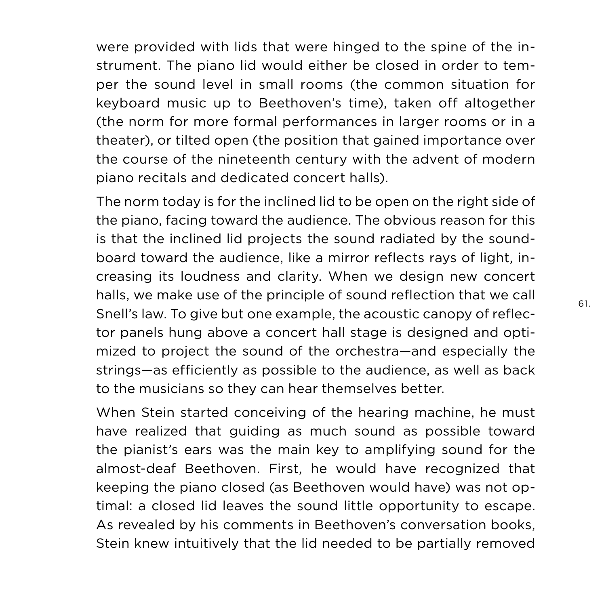were provided with lids that were hinged to the spine of the instrument. The piano lid would either be closed in order to temper the sound level in small rooms (the common situation for keyboard music up to Beethoven's time), taken off altogether (the norm for more formal performances in larger rooms or in a theater), or tilted open (the position that gained importance over the course of the nineteenth century with the advent of modern piano recitals and dedicated concert halls).

The norm today is for the inclined lid to be open on the right side of the piano, facing toward the audience. The obvious reason for this is that the inclined lid projects the sound radiated by the soundboard toward the audience, like a mirror reflects rays of light, increasing its loudness and clarity. When we design new concert halls, we make use of the principle of sound reflection that we call Snell's law. To give but one example, the acoustic canopy of reflector panels hung above a concert hall stage is designed and optimized to project the sound of the orchestra—and especially the strings—as efficiently as possible to the audience, as well as back to the musicians so they can hear themselves better.

When Stein started conceiving of the hearing machine, he must have realized that guiding as much sound as possible toward the pianist's ears was the main key to amplifying sound for the almost-deaf Beethoven. First, he would have recognized that keeping the piano closed (as Beethoven would have) was not optimal: a closed lid leaves the sound little opportunity to escape. As revealed by his comments in Beethoven's conversation books, Stein knew intuitively that the lid needed to be partially removed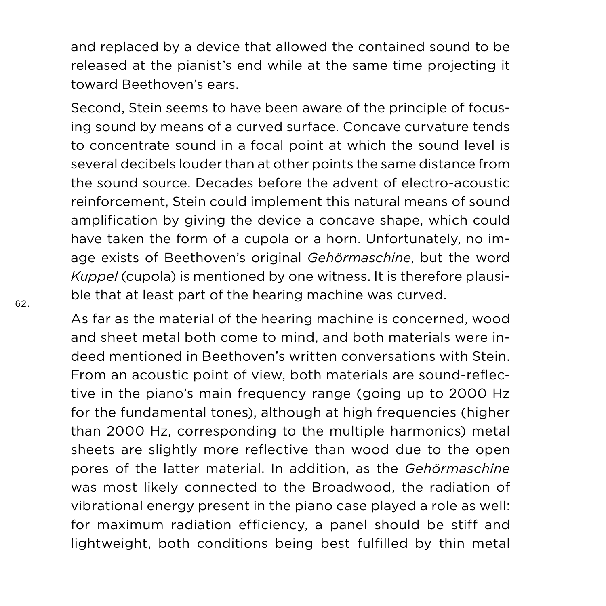and replaced by a device that allowed the contained sound to be released at the pianist's end while at the same time projecting it toward Beethoven's ears.

Second, Stein seems to have been aware of the principle of focusing sound by means of a curved surface. Concave curvature tends to concentrate sound in a focal point at which the sound level is several decibels louder than at other points the same distance from the sound source. Decades before the advent of electro-acoustic reinforcement, Stein could implement this natural means of sound amplification by giving the device a concave shape, which could have taken the form of a cupola or a horn. Unfortunately, no image exists of Beethoven's original *Gehörmaschine*, but the word *Kuppel* (cupola) is mentioned by one witness. It is therefore plausible that at least part of the hearing machine was curved.

As far as the material of the hearing machine is concerned, wood and sheet metal both come to mind, and both materials were indeed mentioned in Beethoven's written conversations with Stein. From an acoustic point of view, both materials are sound-reflective in the piano's main frequency range (going up to 2000 Hz for the fundamental tones), although at high frequencies (higher than 2000 Hz, corresponding to the multiple harmonics) metal sheets are slightly more reflective than wood due to the open pores of the latter material. In addition, as the *Gehörmaschine* was most likely connected to the Broadwood, the radiation of vibrational energy present in the piano case played a role as well: for maximum radiation efficiency, a panel should be stiff and lightweight, both conditions being best fulfilled by thin metal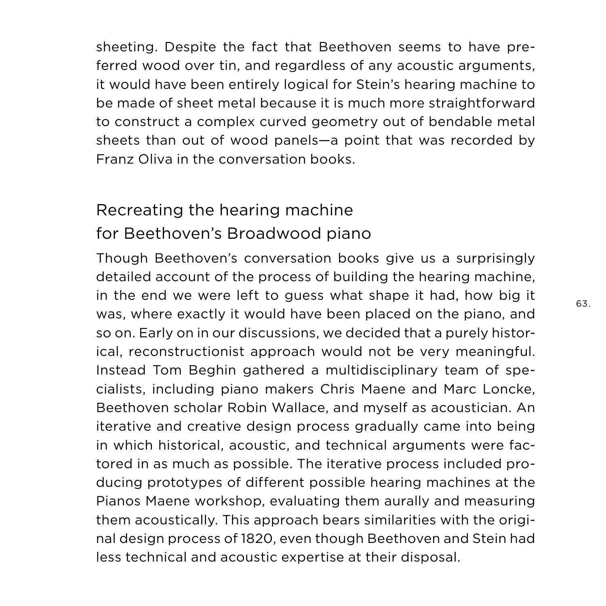sheeting. Despite the fact that Beethoven seems to have preferred wood over tin, and regardless of any acoustic arguments, it would have been entirely logical for Stein's hearing machine to be made of sheet metal because it is much more straightforward to construct a complex curved geometry out of bendable metal sheets than out of wood panels—a point that was recorded by Franz Oliva in the conversation books.

## Recreating the hearing machine for Beethoven's Broadwood piano

Though Beethoven's conversation books give us a surprisingly detailed account of the process of building the hearing machine, in the end we were left to guess what shape it had, how big it was, where exactly it would have been placed on the piano, and so on. Early on in our discussions, we decided that a purely historical, reconstructionist approach would not be very meaningful. Instead Tom Beghin gathered a multidisciplinary team of specialists, including piano makers Chris Maene and Marc Loncke, Beethoven scholar Robin Wallace, and myself as acoustician. An iterative and creative design process gradually came into being in which historical, acoustic, and technical arguments were factored in as much as possible. The iterative process included producing prototypes of different possible hearing machines at the Pianos Maene workshop, evaluating them aurally and measuring them acoustically. This approach bears similarities with the original design process of 1820, even though Beethoven and Stein had less technical and acoustic expertise at their disposal.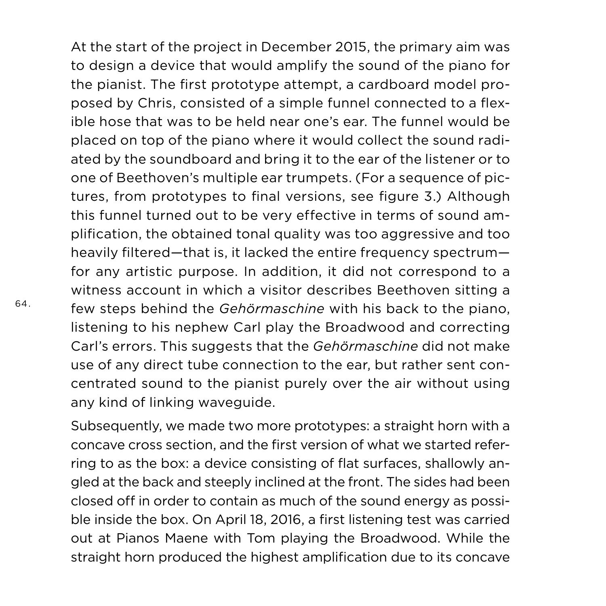At the start of the project in December 2015, the primary aim was to design a device that would amplify the sound of the piano for the pianist. The first prototype attempt, a cardboard model proposed by Chris, consisted of a simple funnel connected to a flexible hose that was to be held near one's ear. The funnel would be placed on top of the piano where it would collect the sound radiated by the soundboard and bring it to the ear of the listener or to one of Beethoven's multiple ear trumpets. (For a sequence of pictures, from prototypes to final versions, see figure 3.) Although this funnel turned out to be very effective in terms of sound amplification, the obtained tonal quality was too aggressive and too heavily filtered—that is, it lacked the entire frequency spectrum for any artistic purpose. In addition, it did not correspond to a witness account in which a visitor describes Beethoven sitting a few steps behind the *Gehörmaschine* with his back to the piano, listening to his nephew Carl play the Broadwood and correcting Carl's errors. This suggests that the *Gehörmaschine* did not make use of any direct tube connection to the ear, but rather sent concentrated sound to the pianist purely over the air without using any kind of linking waveguide.

Subsequently, we made two more prototypes: a straight horn with a concave cross section, and the first version of what we started referring to as the box: a device consisting of flat surfaces, shallowly angled at the back and steeply inclined at the front. The sides had been closed off in order to contain as much of the sound energy as possible inside the box. On April 18, 2016, a first listening test was carried out at Pianos Maene with Tom playing the Broadwood. While the straight horn produced the highest amplification due to its concave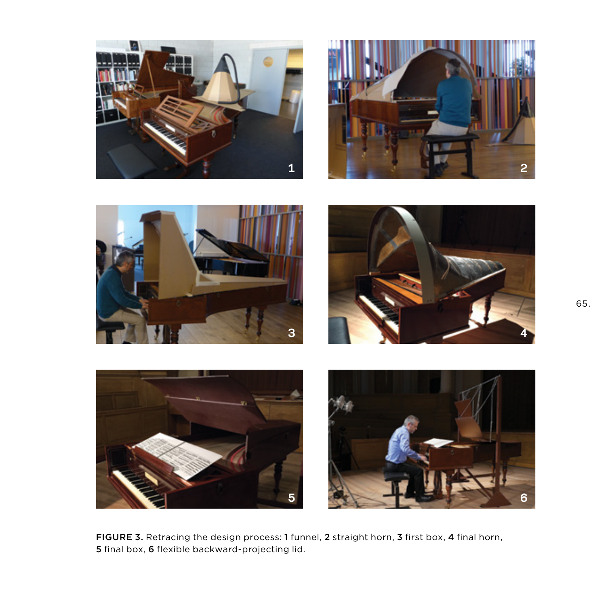





FIGURE 3. Retracing the design process: 1 funnel, 2 straight horn, 3 first box, 4 final horn, final box, 6 flexible backward-projecting lid.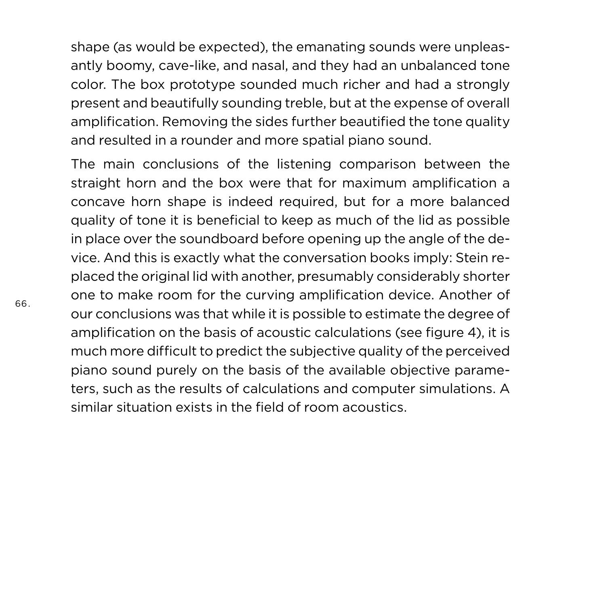shape (as would be expected), the emanating sounds were unpleasantly boomy, cave-like, and nasal, and they had an unbalanced tone color. The box prototype sounded much richer and had a strongly present and beautifully sounding treble, but at the expense of overall amplification. Removing the sides further beautified the tone quality and resulted in a rounder and more spatial piano sound.

The main conclusions of the listening comparison between the straight horn and the box were that for maximum amplification a concave horn shape is indeed required, but for a more balanced quality of tone it is beneficial to keep as much of the lid as possible in place over the soundboard before opening up the angle of the device. And this is exactly what the conversation books imply: Stein replaced the original lid with another, presumably considerably shorter one to make room for the curving amplification device. Another of our conclusions was that while it is possible to estimate the degree of amplification on the basis of acoustic calculations (see figure 4), it is much more difficult to predict the subjective quality of the perceived piano sound purely on the basis of the available objective parameters, such as the results of calculations and computer simulations. A similar situation exists in the field of room acoustics.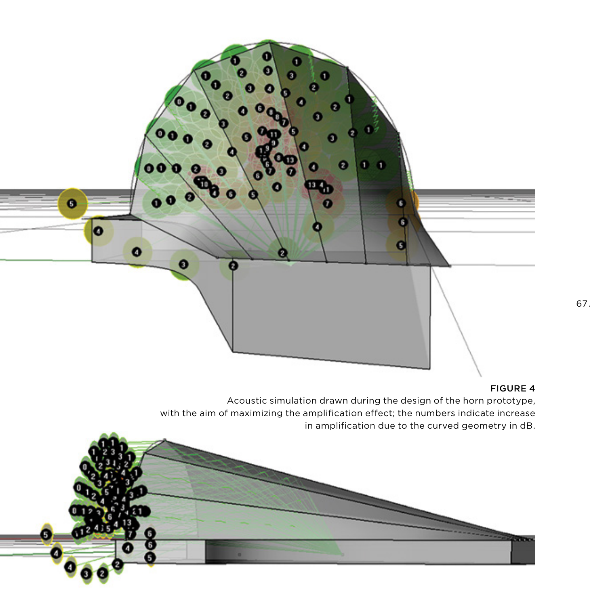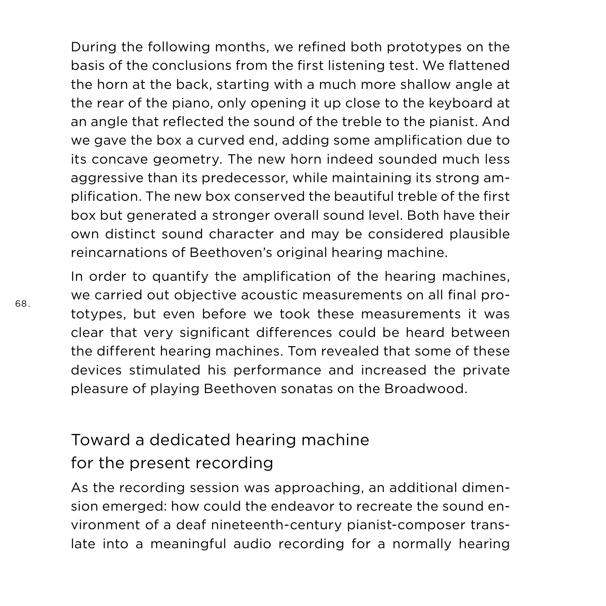During the following months, we refined both prototypes on the basis of the conclusions from the first listening test. We flattened the horn at the back, starting with a much more shallow angle at the rear of the piano, only opening it up close to the keyboard at an angle that reflected the sound of the treble to the pianist. And we gave the box a curved end, adding some amplification due to its concave geometry. The new horn indeed sounded much less aggressive than its predecessor, while maintaining its strong amplification. The new box conserved the beautiful treble of the first box but generated a stronger overall sound level. Both have their own distinct sound character and may be considered plausible reincarnations of Beethoven's original hearing machine.

In order to quantify the amplification of the hearing machines, we carried out objective acoustic measurements on all final prototypes, but even before we took these measurements it was clear that very significant differences could be heard between the different hearing machines. Tom revealed that some of these devices stimulated his performance and increased the private pleasure of playing Beethoven sonatas on the Broadwood.

# Toward a dedicated hearing machine for the present recording

As the recording session was approaching, an additional dimension emerged: how could the endeavor to recreate the sound environment of a deaf nineteenth-century pianist-composer translate into a meaningful audio recording for a normally hearing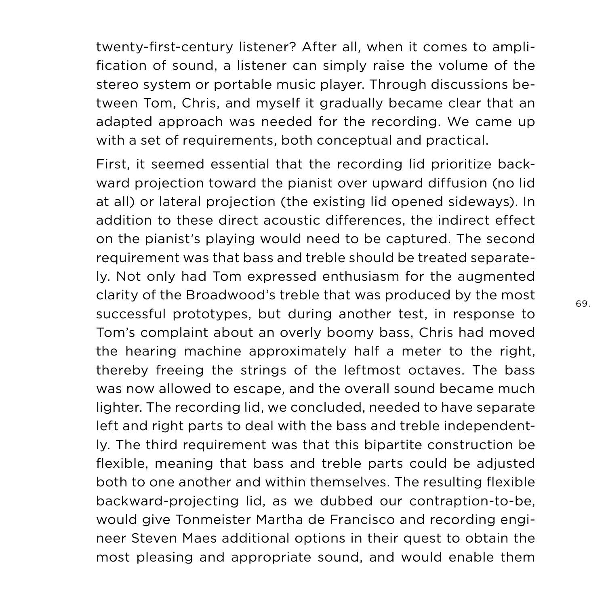twenty-first-century listener? After all, when it comes to amplification of sound, a listener can simply raise the volume of the stereo system or portable music player. Through discussions between Tom, Chris, and myself it gradually became clear that an adapted approach was needed for the recording. We came up with a set of requirements, both conceptual and practical.

First, it seemed essential that the recording lid prioritize backward projection toward the pianist over upward diffusion (no lid at all) or lateral projection (the existing lid opened sideways). In addition to these direct acoustic differences, the indirect effect on the pianist's playing would need to be captured. The second requirement was that bass and treble should be treated separately. Not only had Tom expressed enthusiasm for the augmented clarity of the Broadwood's treble that was produced by the most successful prototypes, but during another test, in response to Tom's complaint about an overly boomy bass, Chris had moved the hearing machine approximately half a meter to the right, thereby freeing the strings of the leftmost octaves. The bass was now allowed to escape, and the overall sound became much lighter. The recording lid, we concluded, needed to have separate left and right parts to deal with the bass and treble independently. The third requirement was that this bipartite construction be flexible, meaning that bass and treble parts could be adjusted both to one another and within themselves. The resulting flexible backward-projecting lid, as we dubbed our contraption-to-be, would give Tonmeister Martha de Francisco and recording engineer Steven Maes additional options in their quest to obtain the most pleasing and appropriate sound, and would enable them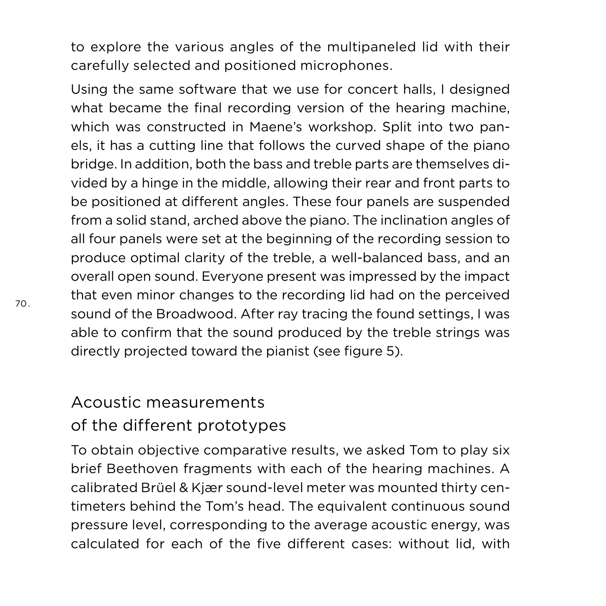to explore the various angles of the multipaneled lid with their carefully selected and positioned microphones.

Using the same software that we use for concert halls, I designed what became the final recording version of the hearing machine, which was constructed in Maene's workshop. Split into two panels, it has a cutting line that follows the curved shape of the piano bridge. In addition, both the bass and treble parts are themselves divided by a hinge in the middle, allowing their rear and front parts to be positioned at different angles. These four panels are suspended from a solid stand, arched above the piano. The inclination angles of all four panels were set at the beginning of the recording session to produce optimal clarity of the treble, a well-balanced bass, and an overall open sound. Everyone present was impressed by the impact that even minor changes to the recording lid had on the perceived sound of the Broadwood. After ray tracing the found settings, I was able to confirm that the sound produced by the treble strings was directly projected toward the pianist (see figure 5).

#### Acoustic measurements of the different prototypes

To obtain objective comparative results, we asked Tom to play six brief Beethoven fragments with each of the hearing machines. A calibrated Brüel & Kjær sound-level meter was mounted thirty centimeters behind the Tom's head. The equivalent continuous sound pressure level, corresponding to the average acoustic energy, was calculated for each of the five different cases: without lid, with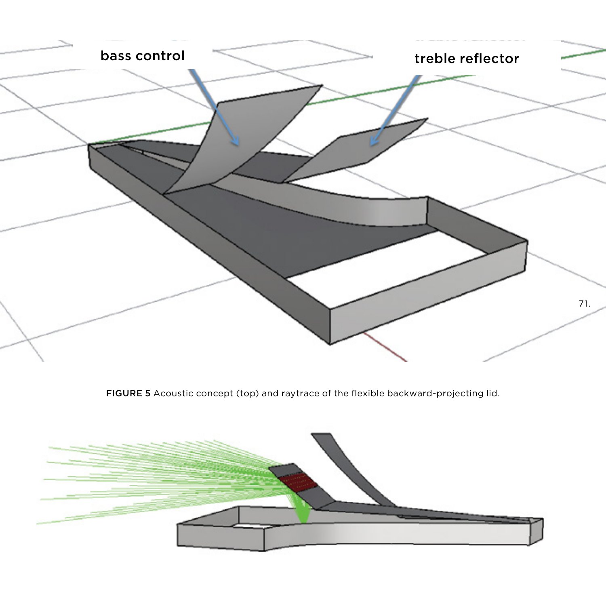

FIGURE 5 Acoustic concept (top) and raytrace of the flexible backward-projecting lid.

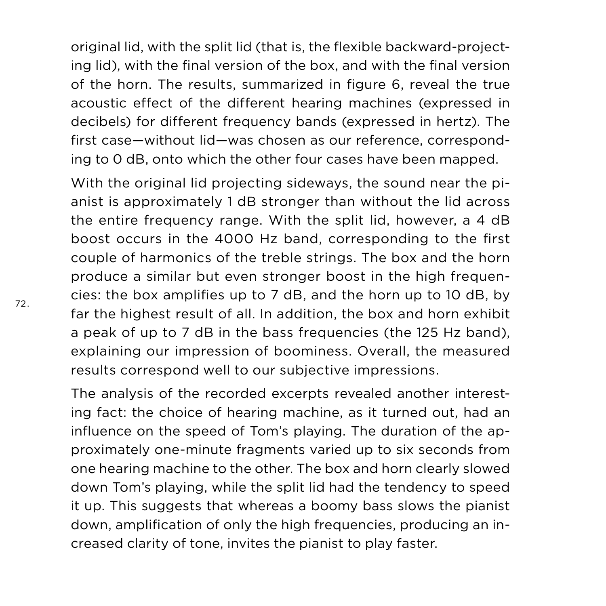original lid, with the split lid (that is, the flexible backward-projecting lid), with the final version of the box, and with the final version of the horn. The results, summarized in figure 6, reveal the true acoustic effect of the different hearing machines (expressed in decibels) for different frequency bands (expressed in hertz). The first case—without lid—was chosen as our reference, corresponding to 0 dB, onto which the other four cases have been mapped.

With the original lid projecting sideways, the sound near the pianist is approximately 1 dB stronger than without the lid across the entire frequency range. With the split lid, however, a 4 dB boost occurs in the 4000 Hz band, corresponding to the first couple of harmonics of the treble strings. The box and the horn produce a similar but even stronger boost in the high frequencies: the box amplifies up to 7 dB, and the horn up to 10 dB, by far the highest result of all. In addition, the box and horn exhibit a peak of up to 7 dB in the bass frequencies (the 125 Hz band), explaining our impression of boominess. Overall, the measured results correspond well to our subjective impressions.

The analysis of the recorded excerpts revealed another interesting fact: the choice of hearing machine, as it turned out, had an influence on the speed of Tom's playing. The duration of the approximately one-minute fragments varied up to six seconds from one hearing machine to the other. The box and horn clearly slowed down Tom's playing, while the split lid had the tendency to speed it up. This suggests that whereas a boomy bass slows the pianist down, amplification of only the high frequencies, producing an increased clarity of tone, invites the pianist to play faster.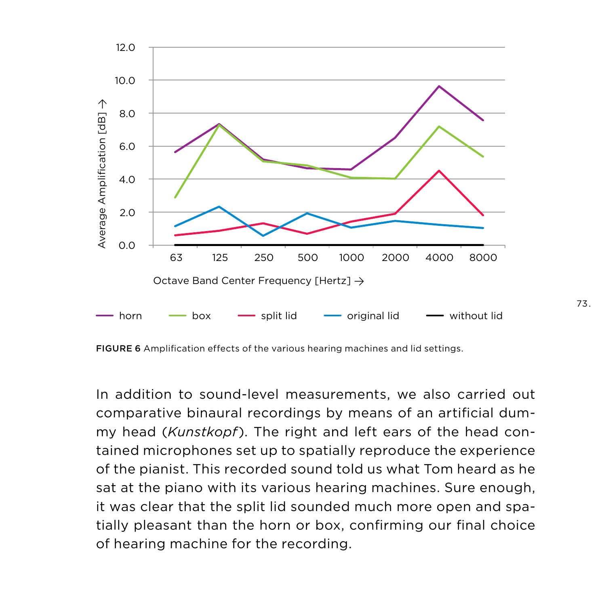

FIGURE 6 Amplification effects of the various hearing machines and lid settings.

In addition to sound-level measurements, we also carried out comparative binaural recordings by means of an artificial dummy head (*Kunstkopf*). The right and left ears of the head contained microphones set up to spatially reproduce the experience of the pianist. This recorded sound told us what Tom heard as he sat at the piano with its various hearing machines. Sure enough, it was clear that the split lid sounded much more open and spatially pleasant than the horn or box, confirming our final choice of hearing machine for the recording.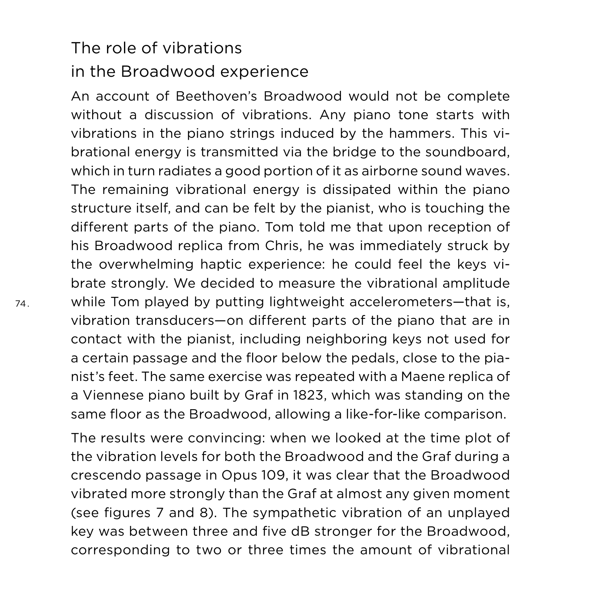### The role of vibrations in the Broadwood experience

An account of Beethoven's Broadwood would not be complete without a discussion of vibrations. Any piano tone starts with vibrations in the piano strings induced by the hammers. This vibrational energy is transmitted via the bridge to the soundboard, which in turn radiates a good portion of it as airborne sound waves. The remaining vibrational energy is dissipated within the piano structure itself, and can be felt by the pianist, who is touching the different parts of the piano. Tom told me that upon reception of his Broadwood replica from Chris, he was immediately struck by the overwhelming haptic experience: he could feel the keys vibrate strongly. We decided to measure the vibrational amplitude while Tom played by putting lightweight accelerometers—that is, vibration transducers—on different parts of the piano that are in contact with the pianist, including neighboring keys not used for a certain passage and the floor below the pedals, close to the pianist's feet. The same exercise was repeated with a Maene replica of a Viennese piano built by Graf in 1823, which was standing on the same floor as the Broadwood, allowing a like-for-like comparison.

The results were convincing: when we looked at the time plot of the vibration levels for both the Broadwood and the Graf during a crescendo passage in Opus 109, it was clear that the Broadwood vibrated more strongly than the Graf at almost any given moment (see figures 7 and 8). The sympathetic vibration of an unplayed key was between three and five dB stronger for the Broadwood, corresponding to two or three times the amount of vibrational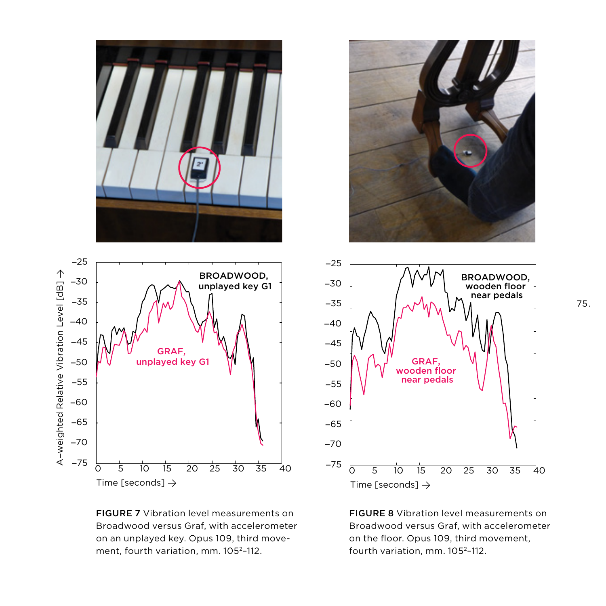

FIGURE 7 Vibration level measurements on Broadwood versus Graf, with accelerometer on an unplayed key. Opus 109, third movement, fourth variation, mm. 1052–112.





FIGURE 8 Vibration level measurements on Broadwood versus Graf, with accelerometer on the floor. Opus 109, third movement, fourth variation, mm. 1052–112.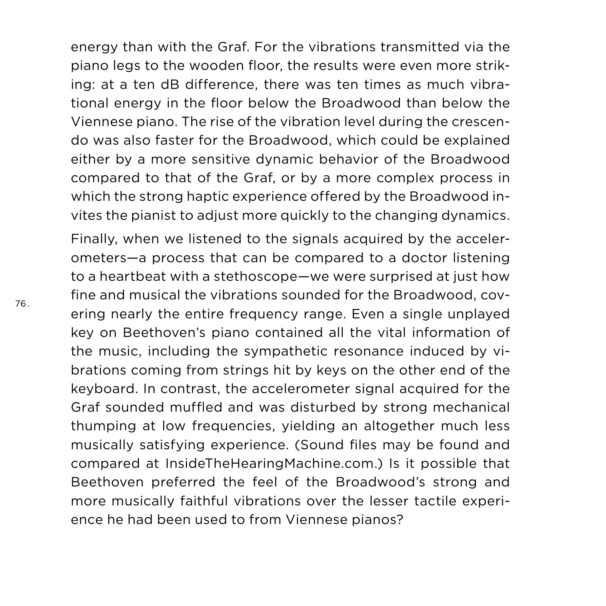energy than with the Graf. For the vibrations transmitted via the piano legs to the wooden floor, the results were even more striking: at a ten dB difference, there was ten times as much vibrational energy in the floor below the Broadwood than below the Viennese piano. The rise of the vibration level during the crescendo was also faster for the Broadwood, which could be explained either by a more sensitive dynamic behavior of the Broadwood compared to that of the Graf, or by a more complex process in which the strong haptic experience offered by the Broadwood invites the pianist to adjust more quickly to the changing dynamics.

Finally, when we listened to the signals acquired by the accelerometers—a process that can be compared to a doctor listening to a heartbeat with a stethoscope—we were surprised at just how fine and musical the vibrations sounded for the Broadwood, covering nearly the entire frequency range. Even a single unplayed key on Beethoven's piano contained all the vital information of the music, including the sympathetic resonance induced by vibrations coming from strings hit by keys on the other end of the keyboard. In contrast, the accelerometer signal acquired for the Graf sounded muffled and was disturbed by strong mechanical thumping at low frequencies, yielding an altogether much less musically satisfying experience. (Sound files may be found and compared at InsideTheHearingMachine.com.) Is it possible that Beethoven preferred the feel of the Broadwood's strong and more musically faithful vibrations over the lesser tactile experience he had been used to from Viennese pianos?